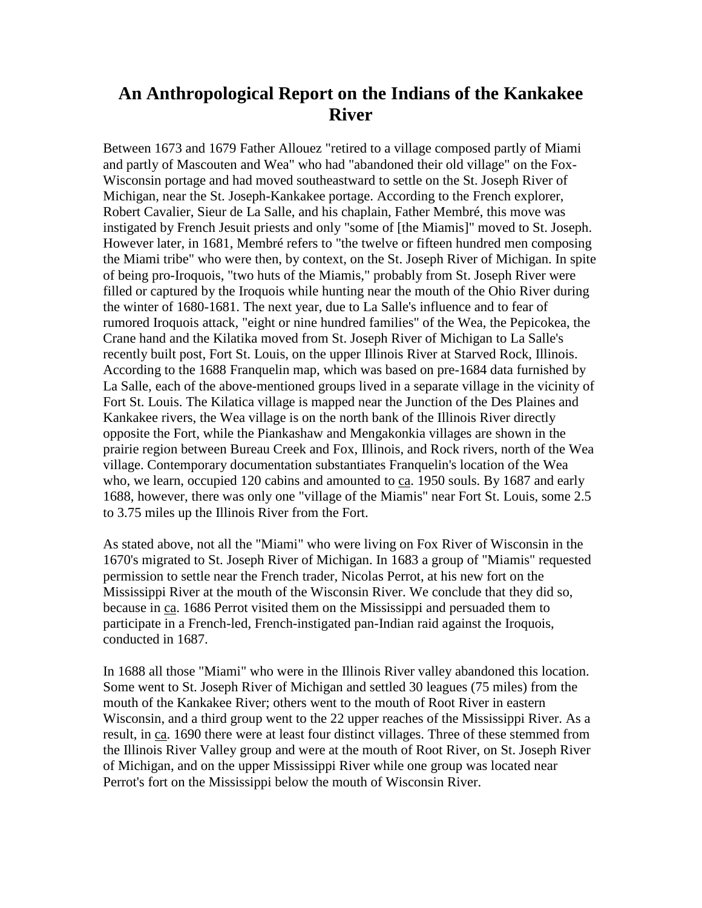### **An Anthropological Report on the Indians of the Kankakee River**

Between 1673 and 1679 Father Allouez "retired to a village composed partly of Miami and partly of Mascouten and Wea" who had "abandoned their old village" on the Fox-Wisconsin portage and had moved southeastward to settle on the St. Joseph River of Michigan, near the St. Joseph-Kankakee portage. According to the French explorer, Robert Cavalier, Sieur de La Salle, and his chaplain, Father Membré, this move was instigated by French Jesuit priests and only "some of [the Miamis]" moved to St. Joseph. However later, in 1681, Membré refers to "the twelve or fifteen hundred men composing the Miami tribe" who were then, by context, on the St. Joseph River of Michigan. In spite of being pro-Iroquois, "two huts of the Miamis," probably from St. Joseph River were filled or captured by the Iroquois while hunting near the mouth of the Ohio River during the winter of 1680-1681. The next year, due to La Salle's influence and to fear of rumored Iroquois attack, "eight or nine hundred families" of the Wea, the Pepicokea, the Crane hand and the Kilatika moved from St. Joseph River of Michigan to La Salle's recently built post, Fort St. Louis, on the upper Illinois River at Starved Rock, Illinois. According to the 1688 Franquelin map, which was based on pre-1684 data furnished by La Salle, each of the above-mentioned groups lived in a separate village in the vicinity of Fort St. Louis. The Kilatica village is mapped near the Junction of the Des Plaines and Kankakee rivers, the Wea village is on the north bank of the Illinois River directly opposite the Fort, while the Piankashaw and Mengakonkia villages are shown in the prairie region between Bureau Creek and Fox, Illinois, and Rock rivers, north of the Wea village. Contemporary documentation substantiates Franquelin's location of the Wea who, we learn, occupied 120 cabins and amounted to ca. 1950 souls. By 1687 and early 1688, however, there was only one "village of the Miamis" near Fort St. Louis, some 2.5 to 3.75 miles up the Illinois River from the Fort.

As stated above, not all the "Miami" who were living on Fox River of Wisconsin in the 1670's migrated to St. Joseph River of Michigan. In 1683 a group of "Miamis" requested permission to settle near the French trader, Nicolas Perrot, at his new fort on the Mississippi River at the mouth of the Wisconsin River. We conclude that they did so, because in ca. 1686 Perrot visited them on the Mississippi and persuaded them to participate in a French-led, French-instigated pan-Indian raid against the Iroquois, conducted in 1687.

In 1688 all those "Miami" who were in the Illinois River valley abandoned this location. Some went to St. Joseph River of Michigan and settled 30 leagues (75 miles) from the mouth of the Kankakee River; others went to the mouth of Root River in eastern Wisconsin, and a third group went to the 22 upper reaches of the Mississippi River. As a result, in ca. 1690 there were at least four distinct villages. Three of these stemmed from the Illinois River Valley group and were at the mouth of Root River, on St. Joseph River of Michigan, and on the upper Mississippi River while one group was located near Perrot's fort on the Mississippi below the mouth of Wisconsin River.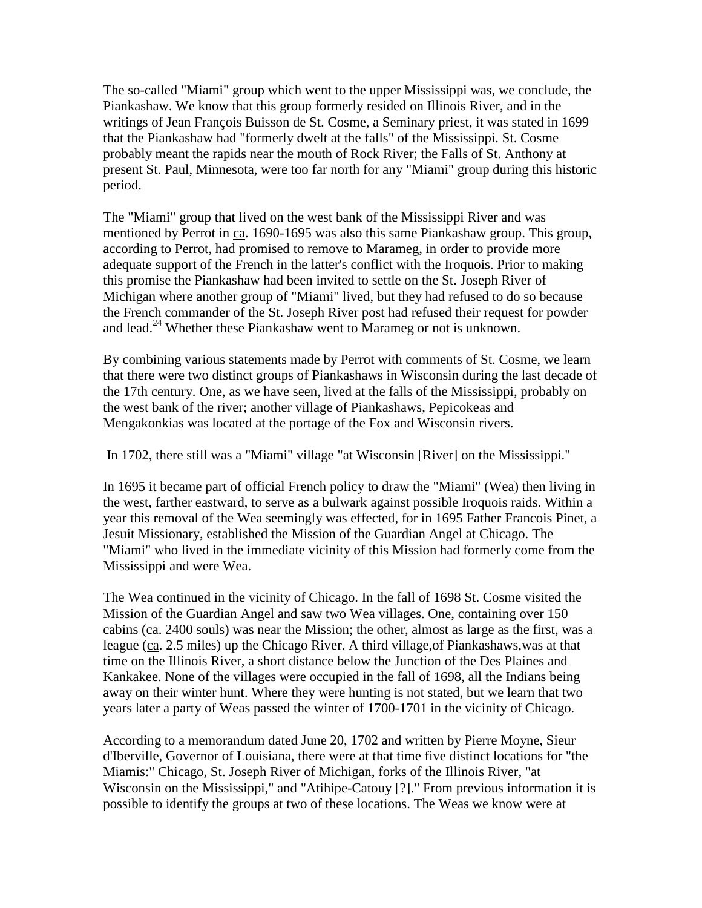The so-called "Miami" group which went to the upper Mississippi was, we conclude, the Piankashaw. We know that this group formerly resided on Illinois River, and in the writings of Jean François Buisson de St. Cosme, a Seminary priest, it was stated in 1699 that the Piankashaw had "formerly dwelt at the falls" of the Mississippi. St. Cosme probably meant the rapids near the mouth of Rock River; the Falls of St. Anthony at present St. Paul, Minnesota, were too far north for any "Miami" group during this historic period.

The "Miami" group that lived on the west bank of the Mississippi River and was mentioned by Perrot in ca. 1690-1695 was also this same Piankashaw group. This group, according to Perrot, had promised to remove to Marameg, in order to provide more adequate support of the French in the latter's conflict with the Iroquois. Prior to making this promise the Piankashaw had been invited to settle on the St. Joseph River of Michigan where another group of "Miami" lived, but they had refused to do so because the French commander of the St. Joseph River post had refused their request for powder and lead.<sup>24</sup> Whether these Piankashaw went to Marameg or not is unknown.

By combining various statements made by Perrot with comments of St. Cosme, we learn that there were two distinct groups of Piankashaws in Wisconsin during the last decade of the 17th century. One, as we have seen, lived at the falls of the Mississippi, probably on the west bank of the river; another village of Piankashaws, Pepicokeas and Mengakonkias was located at the portage of the Fox and Wisconsin rivers.

In 1702, there still was a "Miami" village "at Wisconsin [River] on the Mississippi."

In 1695 it became part of official French policy to draw the "Miami" (Wea) then living in the west, farther eastward, to serve as a bulwark against possible Iroquois raids. Within a year this removal of the Wea seemingly was effected, for in 1695 Father Francois Pinet, a Jesuit Missionary, established the Mission of the Guardian Angel at Chicago. The "Miami" who lived in the immediate vicinity of this Mission had formerly come from the Mississippi and were Wea.

The Wea continued in the vicinity of Chicago. In the fall of 1698 St. Cosme visited the Mission of the Guardian Angel and saw two Wea villages. One, containing over 150 cabins (ca. 2400 souls) was near the Mission; the other, almost as large as the first, was a league (ca. 2.5 miles) up the Chicago River. A third village,of Piankashaws,was at that time on the Illinois River, a short distance below the Junction of the Des Plaines and Kankakee. None of the villages were occupied in the fall of 1698, all the Indians being away on their winter hunt. Where they were hunting is not stated, but we learn that two years later a party of Weas passed the winter of 1700-1701 in the vicinity of Chicago.

According to a memorandum dated June 20, 1702 and written by Pierre Moyne, Sieur d'Iberville, Governor of Louisiana, there were at that time five distinct locations for "the Miamis:" Chicago, St. Joseph River of Michigan, forks of the Illinois River, "at Wisconsin on the Mississippi," and "Atihipe-Catouy [?]." From previous information it is possible to identify the groups at two of these locations. The Weas we know were at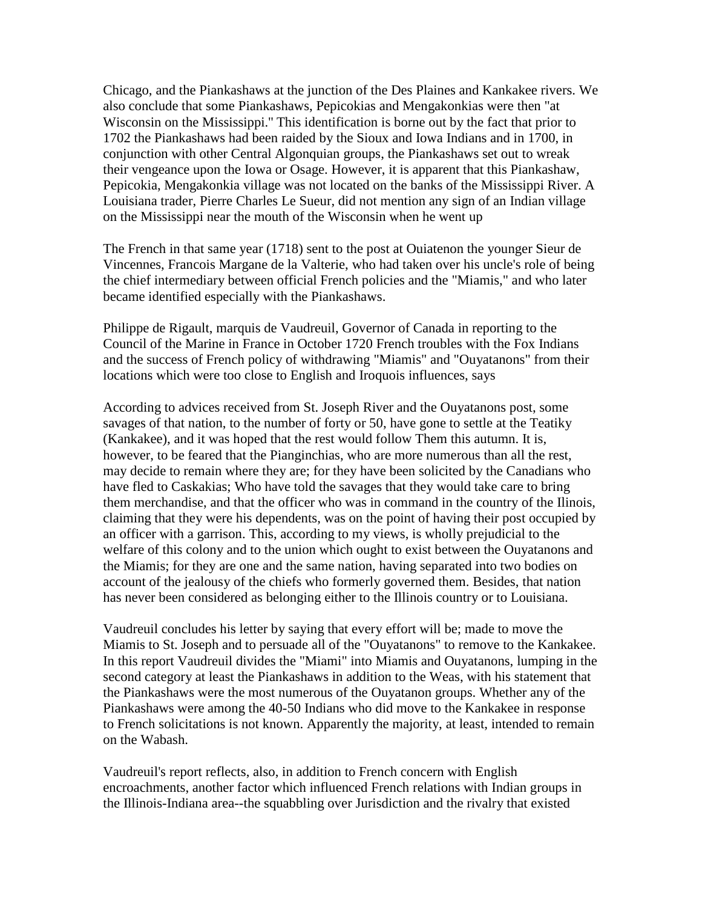Chicago, and the Piankashaws at the junction of the Des Plaines and Kankakee rivers. We also conclude that some Piankashaws, Pepicokias and Mengakonkias were then "at Wisconsin on the Mississippi.'' This identification is borne out by the fact that prior to 1702 the Piankashaws had been raided by the Sioux and Iowa Indians and in 1700, in conjunction with other Central Algonquian groups, the Piankashaws set out to wreak their vengeance upon the Iowa or Osage. However, it is apparent that this Piankashaw, Pepicokia, Mengakonkia village was not located on the banks of the Mississippi River. A Louisiana trader, Pierre Charles Le Sueur, did not mention any sign of an Indian village on the Mississippi near the mouth of the Wisconsin when he went up

The French in that same year (1718) sent to the post at Ouiatenon the younger Sieur de Vincennes, Francois Margane de la Valterie, who had taken over his uncle's role of being the chief intermediary between official French policies and the "Miamis," and who later became identified especially with the Piankashaws.

Philippe de Rigault, marquis de Vaudreuil, Governor of Canada in reporting to the Council of the Marine in France in October 1720 French troubles with the Fox Indians and the success of French policy of withdrawing "Miamis" and "Ouyatanons" from their locations which were too close to English and Iroquois influences, says

According to advices received from St. Joseph River and the Ouyatanons post, some savages of that nation, to the number of forty or 50, have gone to settle at the Teatiky (Kankakee), and it was hoped that the rest would follow Them this autumn. It is, however, to be feared that the Pianginchias, who are more numerous than all the rest, may decide to remain where they are; for they have been solicited by the Canadians who have fled to Caskakias; Who have told the savages that they would take care to bring them merchandise, and that the officer who was in command in the country of the Ilinois, claiming that they were his dependents, was on the point of having their post occupied by an officer with a garrison. This, according to my views, is wholly prejudicial to the welfare of this colony and to the union which ought to exist between the Ouyatanons and the Miamis; for they are one and the same nation, having separated into two bodies on account of the jealousy of the chiefs who formerly governed them. Besides, that nation has never been considered as belonging either to the Illinois country or to Louisiana.

Vaudreuil concludes his letter by saying that every effort will be; made to move the Miamis to St. Joseph and to persuade all of the "Ouyatanons" to remove to the Kankakee. In this report Vaudreuil divides the "Miami" into Miamis and Ouyatanons, lumping in the second category at least the Piankashaws in addition to the Weas, with his statement that the Piankashaws were the most numerous of the Ouyatanon groups. Whether any of the Piankashaws were among the 40-50 Indians who did move to the Kankakee in response to French solicitations is not known. Apparently the majority, at least, intended to remain on the Wabash.

Vaudreuil's report reflects, also, in addition to French concern with English encroachments, another factor which influenced French relations with Indian groups in the Illinois-Indiana area--the squabbling over Jurisdiction and the rivalry that existed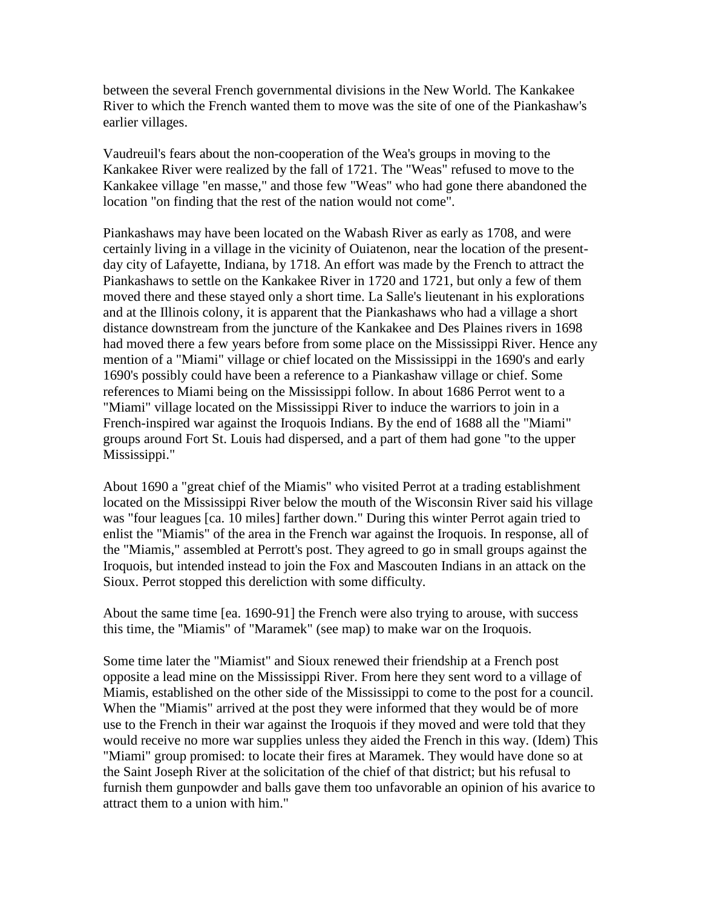between the several French governmental divisions in the New World. The Kankakee River to which the French wanted them to move was the site of one of the Piankashaw's earlier villages.

Vaudreuil's fears about the non-cooperation of the Wea's groups in moving to the Kankakee River were realized by the fall of 1721. The "Weas" refused to move to the Kankakee village "en masse," and those few "Weas" who had gone there abandoned the location "on finding that the rest of the nation would not come".

Piankashaws may have been located on the Wabash River as early as 1708, and were certainly living in a village in the vicinity of Ouiatenon, near the location of the presentday city of Lafayette, Indiana, by 1718. An effort was made by the French to attract the Piankashaws to settle on the Kankakee River in 1720 and 1721, but only a few of them moved there and these stayed only a short time. La Salle's lieutenant in his explorations and at the Illinois colony, it is apparent that the Piankashaws who had a village a short distance downstream from the juncture of the Kankakee and Des Plaines rivers in 1698 had moved there a few years before from some place on the Mississippi River. Hence any mention of a "Miami" village or chief located on the Mississippi in the 1690's and early 1690's possibly could have been a reference to a Piankashaw village or chief. Some references to Miami being on the Mississippi follow. In about 1686 Perrot went to a "Miami" village located on the Mississippi River to induce the warriors to join in a French-inspired war against the Iroquois Indians. By the end of 1688 all the "Miami" groups around Fort St. Louis had dispersed, and a part of them had gone "to the upper Mississippi."

About 1690 a "great chief of the Miamis" who visited Perrot at a trading establishment located on the Mississippi River below the mouth of the Wisconsin River said his village was "four leagues [ca. 10 miles] farther down." During this winter Perrot again tried to enlist the "Miamis" of the area in the French war against the Iroquois. In response, all of the "Miamis," assembled at Perrott's post. They agreed to go in small groups against the Iroquois, but intended instead to join the Fox and Mascouten Indians in an attack on the Sioux. Perrot stopped this dereliction with some difficulty.

About the same time [ea. 1690-91] the French were also trying to arouse, with success this time, the ''Miamis" of "Maramek" (see map) to make war on the Iroquois.

Some time later the "Miamist" and Sioux renewed their friendship at a French post opposite a lead mine on the Mississippi River. From here they sent word to a village of Miamis, established on the other side of the Mississippi to come to the post for a council. When the "Miamis" arrived at the post they were informed that they would be of more use to the French in their war against the Iroquois if they moved and were told that they would receive no more war supplies unless they aided the French in this way. (Idem) This "Miami" group promised: to locate their fires at Maramek. They would have done so at the Saint Joseph River at the solicitation of the chief of that district; but his refusal to furnish them gunpowder and balls gave them too unfavorable an opinion of his avarice to attract them to a union with him."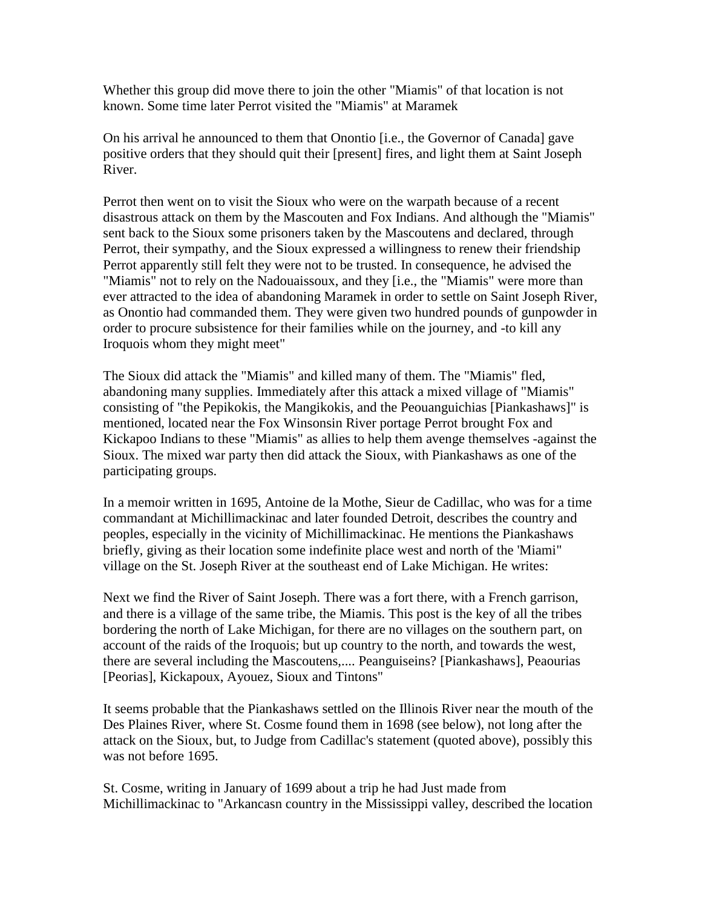Whether this group did move there to join the other "Miamis" of that location is not known. Some time later Perrot visited the "Miamis" at Maramek

On his arrival he announced to them that Onontio [i.e., the Governor of Canada] gave positive orders that they should quit their [present] fires, and light them at Saint Joseph River.

Perrot then went on to visit the Sioux who were on the warpath because of a recent disastrous attack on them by the Mascouten and Fox Indians. And although the "Miamis" sent back to the Sioux some prisoners taken by the Mascoutens and declared, through Perrot, their sympathy, and the Sioux expressed a willingness to renew their friendship Perrot apparently still felt they were not to be trusted. In consequence, he advised the "Miamis" not to rely on the Nadouaissoux, and they [i.e., the "Miamis" were more than ever attracted to the idea of abandoning Maramek in order to settle on Saint Joseph River, as Onontio had commanded them. They were given two hundred pounds of gunpowder in order to procure subsistence for their families while on the journey, and -to kill any Iroquois whom they might meet"

The Sioux did attack the "Miamis" and killed many of them. The "Miamis" fled, abandoning many supplies. Immediately after this attack a mixed village of "Miamis" consisting of "the Pepikokis, the Mangikokis, and the Peouanguichias [Piankashaws]" is mentioned, located near the Fox Winsonsin River portage Perrot brought Fox and Kickapoo Indians to these "Miamis" as allies to help them avenge themselves -against the Sioux. The mixed war party then did attack the Sioux, with Piankashaws as one of the participating groups.

In a memoir written in 1695, Antoine de la Mothe, Sieur de Cadillac, who was for a time commandant at Michillimackinac and later founded Detroit, describes the country and peoples, especially in the vicinity of Michillimackinac. He mentions the Piankashaws briefly, giving as their location some indefinite place west and north of the 'Miami" village on the St. Joseph River at the southeast end of Lake Michigan. He writes:

Next we find the River of Saint Joseph. There was a fort there, with a French garrison, and there is a village of the same tribe, the Miamis. This post is the key of all the tribes bordering the north of Lake Michigan, for there are no villages on the southern part, on account of the raids of the Iroquois; but up country to the north, and towards the west, there are several including the Mascoutens,.... Peanguiseins? [Piankashaws], Peaourias [Peorias], Kickapoux, Ayouez, Sioux and Tintons"

It seems probable that the Piankashaws settled on the Illinois River near the mouth of the Des Plaines River, where St. Cosme found them in 1698 (see below), not long after the attack on the Sioux, but, to Judge from Cadillac's statement (quoted above), possibly this was not before 1695.

St. Cosme, writing in January of 1699 about a trip he had Just made from Michillimackinac to "Arkancasn country in the Mississippi valley, described the location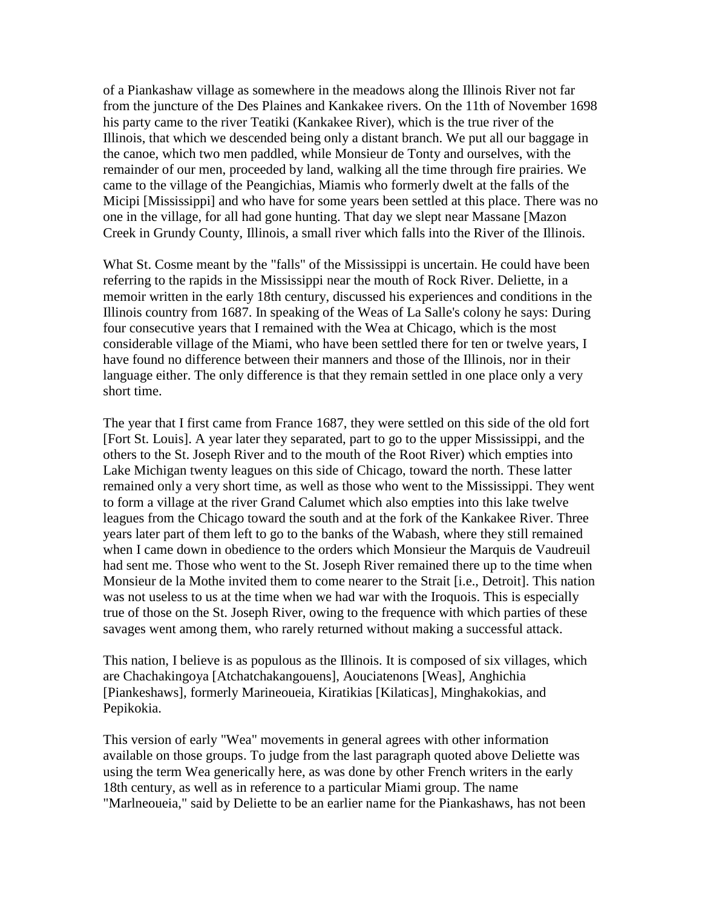of a Piankashaw village as somewhere in the meadows along the Illinois River not far from the juncture of the Des Plaines and Kankakee rivers. On the 11th of November 1698 his party came to the river Teatiki (Kankakee River), which is the true river of the Illinois, that which we descended being only a distant branch. We put all our baggage in the canoe, which two men paddled, while Monsieur de Tonty and ourselves, with the remainder of our men, proceeded by land, walking all the time through fire prairies. We came to the village of the Peangichias, Miamis who formerly dwelt at the falls of the Micipi [Mississippi] and who have for some years been settled at this place. There was no one in the village, for all had gone hunting. That day we slept near Massane [Mazon Creek in Grundy County, Illinois, a small river which falls into the River of the Illinois.

What St. Cosme meant by the "falls" of the Mississippi is uncertain. He could have been referring to the rapids in the Mississippi near the mouth of Rock River. Deliette, in a memoir written in the early 18th century, discussed his experiences and conditions in the Illinois country from 1687. In speaking of the Weas of La Salle's colony he says: During four consecutive years that I remained with the Wea at Chicago, which is the most considerable village of the Miami, who have been settled there for ten or twelve years, I have found no difference between their manners and those of the Illinois, nor in their language either. The only difference is that they remain settled in one place only a very short time.

The year that I first came from France 1687, they were settled on this side of the old fort [Fort St. Louis]. A year later they separated, part to go to the upper Mississippi, and the others to the St. Joseph River and to the mouth of the Root River) which empties into Lake Michigan twenty leagues on this side of Chicago, toward the north. These latter remained only a very short time, as well as those who went to the Mississippi. They went to form a village at the river Grand Calumet which also empties into this lake twelve leagues from the Chicago toward the south and at the fork of the Kankakee River. Three years later part of them left to go to the banks of the Wabash, where they still remained when I came down in obedience to the orders which Monsieur the Marquis de Vaudreuil had sent me. Those who went to the St. Joseph River remained there up to the time when Monsieur de la Mothe invited them to come nearer to the Strait [i.e., Detroit]. This nation was not useless to us at the time when we had war with the Iroquois. This is especially true of those on the St. Joseph River, owing to the frequence with which parties of these savages went among them, who rarely returned without making a successful attack.

This nation, I believe is as populous as the Illinois. It is composed of six villages, which are Chachakingoya [Atchatchakangouens], Aouciatenons [Weas], Anghichia [Piankeshaws], formerly Marineoueia, Kiratikias [Kilaticas], Minghakokias, and Pepikokia.

This version of early "Wea" movements in general agrees with other information available on those groups. To judge from the last paragraph quoted above Deliette was using the term Wea generically here, as was done by other French writers in the early 18th century, as well as in reference to a particular Miami group. The name "Marlneoueia," said by Deliette to be an earlier name for the Piankashaws, has not been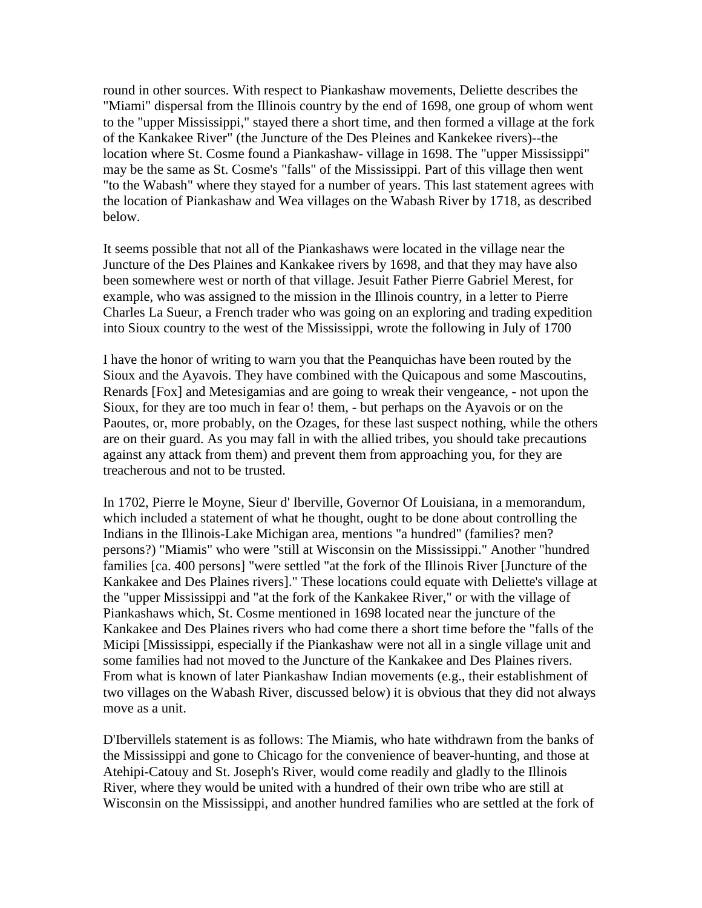round in other sources. With respect to Piankashaw movements, Deliette describes the "Miami" dispersal from the Illinois country by the end of 1698, one group of whom went to the "upper Mississippi," stayed there a short time, and then formed a village at the fork of the Kankakee River" (the Juncture of the Des Pleines and Kankekee rivers)--the location where St. Cosme found a Piankashaw- village in 1698. The "upper Mississippi" may be the same as St. Cosme's "falls" of the Mississippi. Part of this village then went "to the Wabash" where they stayed for a number of years. This last statement agrees with the location of Piankashaw and Wea villages on the Wabash River by 1718, as described below.

It seems possible that not all of the Piankashaws were located in the village near the Juncture of the Des Plaines and Kankakee rivers by 1698, and that they may have also been somewhere west or north of that village. Jesuit Father Pierre Gabriel Merest, for example, who was assigned to the mission in the Illinois country, in a letter to Pierre Charles La Sueur, a French trader who was going on an exploring and trading expedition into Sioux country to the west of the Mississippi, wrote the following in July of 1700

I have the honor of writing to warn you that the Peanquichas have been routed by the Sioux and the Ayavois. They have combined with the Quicapous and some Mascoutins, Renards [Fox] and Metesigamias and are going to wreak their vengeance, - not upon the Sioux, for they are too much in fear o! them, - but perhaps on the Ayavois or on the Paoutes, or, more probably, on the Ozages, for these last suspect nothing, while the others are on their guard. As you may fall in with the allied tribes, you should take precautions against any attack from them) and prevent them from approaching you, for they are treacherous and not to be trusted.

In 1702, Pierre le Moyne, Sieur d' Iberville, Governor Of Louisiana, in a memorandum, which included a statement of what he thought, ought to be done about controlling the Indians in the Illinois-Lake Michigan area, mentions "a hundred" (families? men? persons?) "Miamis" who were "still at Wisconsin on the Mississippi." Another "hundred families [ca. 400 persons] "were settled "at the fork of the Illinois River [Juncture of the Kankakee and Des Plaines rivers]." These locations could equate with Deliette's village at the "upper Mississippi and "at the fork of the Kankakee River," or with the village of Piankashaws which, St. Cosme mentioned in 1698 located near the juncture of the Kankakee and Des Plaines rivers who had come there a short time before the "falls of the Micipi [Mississippi, especially if the Piankashaw were not all in a single village unit and some families had not moved to the Juncture of the Kankakee and Des Plaines rivers. From what is known of later Piankashaw Indian movements (e.g., their establishment of two villages on the Wabash River, discussed below) it is obvious that they did not always move as a unit.

D'Ibervillels statement is as follows: The Miamis, who hate withdrawn from the banks of the Mississippi and gone to Chicago for the convenience of beaver-hunting, and those at Atehipi-Catouy and St. Joseph's River, would come readily and gladly to the Illinois River, where they would be united with a hundred of their own tribe who are still at Wisconsin on the Mississippi, and another hundred families who are settled at the fork of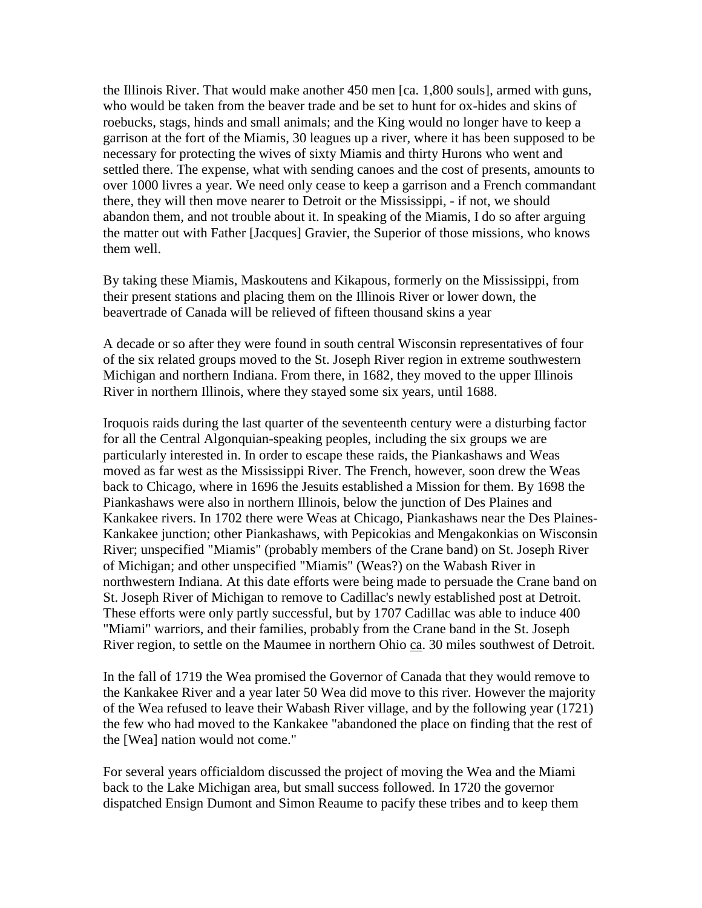the Illinois River. That would make another 450 men [ca. 1,800 souls], armed with guns, who would be taken from the beaver trade and be set to hunt for ox-hides and skins of roebucks, stags, hinds and small animals; and the King would no longer have to keep a garrison at the fort of the Miamis, 30 leagues up a river, where it has been supposed to be necessary for protecting the wives of sixty Miamis and thirty Hurons who went and settled there. The expense, what with sending canoes and the cost of presents, amounts to over 1000 livres a year. We need only cease to keep a garrison and a French commandant there, they will then move nearer to Detroit or the Mississippi, - if not, we should abandon them, and not trouble about it. In speaking of the Miamis, I do so after arguing the matter out with Father [Jacques] Gravier, the Superior of those missions, who knows them well.

By taking these Miamis, Maskoutens and Kikapous, formerly on the Mississippi, from their present stations and placing them on the Illinois River or lower down, the beavertrade of Canada will be relieved of fifteen thousand skins a year

A decade or so after they were found in south central Wisconsin representatives of four of the six related groups moved to the St. Joseph River region in extreme southwestern Michigan and northern Indiana. From there, in 1682, they moved to the upper Illinois River in northern Illinois, where they stayed some six years, until 1688.

Iroquois raids during the last quarter of the seventeenth century were a disturbing factor for all the Central Algonquian-speaking peoples, including the six groups we are particularly interested in. In order to escape these raids, the Piankashaws and Weas moved as far west as the Mississippi River. The French, however, soon drew the Weas back to Chicago, where in 1696 the Jesuits established a Mission for them. By 1698 the Piankashaws were also in northern Illinois, below the junction of Des Plaines and Kankakee rivers. In 1702 there were Weas at Chicago, Piankashaws near the Des Plaines-Kankakee junction; other Piankashaws, with Pepicokias and Mengakonkias on Wisconsin River; unspecified "Miamis" (probably members of the Crane band) on St. Joseph River of Michigan; and other unspecified "Miamis" (Weas?) on the Wabash River in northwestern Indiana. At this date efforts were being made to persuade the Crane band on St. Joseph River of Michigan to remove to Cadillac's newly established post at Detroit. These efforts were only partly successful, but by 1707 Cadillac was able to induce 400 "Miami" warriors, and their families, probably from the Crane band in the St. Joseph River region, to settle on the Maumee in northern Ohio ca. 30 miles southwest of Detroit.

In the fall of 1719 the Wea promised the Governor of Canada that they would remove to the Kankakee River and a year later 50 Wea did move to this river. However the majority of the Wea refused to leave their Wabash River village, and by the following year (1721) the few who had moved to the Kankakee "abandoned the place on finding that the rest of the [Wea] nation would not come."

For several years officialdom discussed the project of moving the Wea and the Miami back to the Lake Michigan area, but small success followed. In 1720 the governor dispatched Ensign Dumont and Simon Reaume to pacify these tribes and to keep them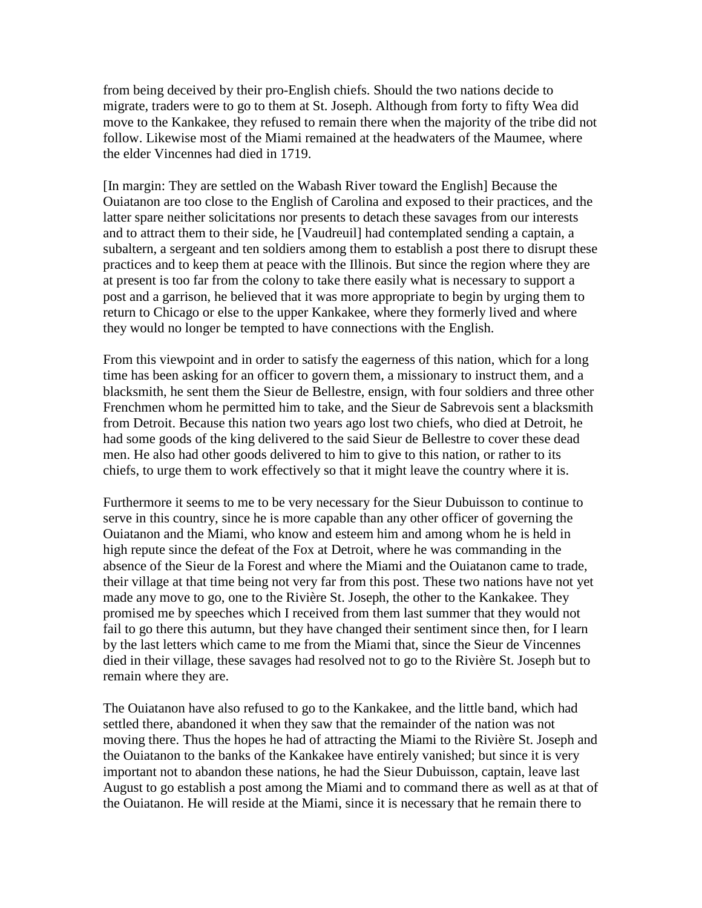from being deceived by their pro-English chiefs. Should the two nations decide to migrate, traders were to go to them at St. Joseph. Although from forty to fifty Wea did move to the Kankakee, they refused to remain there when the majority of the tribe did not follow. Likewise most of the Miami remained at the headwaters of the Maumee, where the elder Vincennes had died in 1719.

[In margin: They are settled on the Wabash River toward the English] Because the Ouiatanon are too close to the English of Carolina and exposed to their practices, and the latter spare neither solicitations nor presents to detach these savages from our interests and to attract them to their side, he [Vaudreuil] had contemplated sending a captain, a subaltern, a sergeant and ten soldiers among them to establish a post there to disrupt these practices and to keep them at peace with the Illinois. But since the region where they are at present is too far from the colony to take there easily what is necessary to support a post and a garrison, he believed that it was more appropriate to begin by urging them to return to Chicago or else to the upper Kankakee, where they formerly lived and where they would no longer be tempted to have connections with the English.

From this viewpoint and in order to satisfy the eagerness of this nation, which for a long time has been asking for an officer to govern them, a missionary to instruct them, and a blacksmith, he sent them the Sieur de Bellestre, ensign, with four soldiers and three other Frenchmen whom he permitted him to take, and the Sieur de Sabrevois sent a blacksmith from Detroit. Because this nation two years ago lost two chiefs, who died at Detroit, he had some goods of the king delivered to the said Sieur de Bellestre to cover these dead men. He also had other goods delivered to him to give to this nation, or rather to its chiefs, to urge them to work effectively so that it might leave the country where it is.

Furthermore it seems to me to be very necessary for the Sieur Dubuisson to continue to serve in this country, since he is more capable than any other officer of governing the Ouiatanon and the Miami, who know and esteem him and among whom he is held in high repute since the defeat of the Fox at Detroit, where he was commanding in the absence of the Sieur de la Forest and where the Miami and the Ouiatanon came to trade, their village at that time being not very far from this post. These two nations have not yet made any move to go, one to the Rivière St. Joseph, the other to the Kankakee. They promised me by speeches which I received from them last summer that they would not fail to go there this autumn, but they have changed their sentiment since then, for I learn by the last letters which came to me from the Miami that, since the Sieur de Vincennes died in their village, these savages had resolved not to go to the Rivière St. Joseph but to remain where they are.

The Ouiatanon have also refused to go to the Kankakee, and the little band, which had settled there, abandoned it when they saw that the remainder of the nation was not moving there. Thus the hopes he had of attracting the Miami to the Rivière St. Joseph and the Ouiatanon to the banks of the Kankakee have entirely vanished; but since it is very important not to abandon these nations, he had the Sieur Dubuisson, captain, leave last August to go establish a post among the Miami and to command there as well as at that of the Ouiatanon. He will reside at the Miami, since it is necessary that he remain there to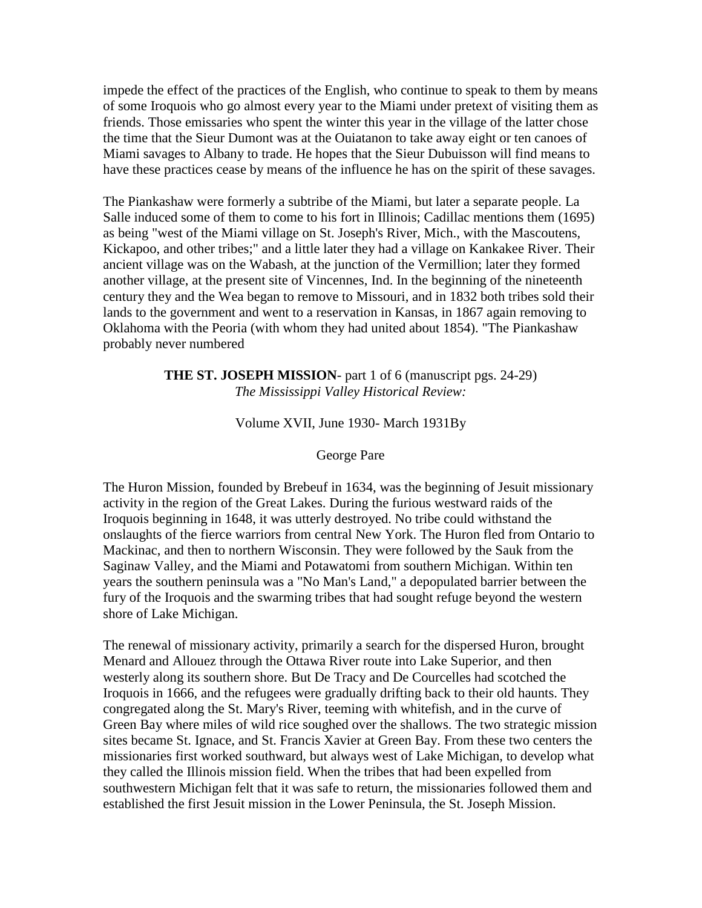impede the effect of the practices of the English, who continue to speak to them by means of some Iroquois who go almost every year to the Miami under pretext of visiting them as friends. Those emissaries who spent the winter this year in the village of the latter chose the time that the Sieur Dumont was at the Ouiatanon to take away eight or ten canoes of Miami savages to Albany to trade. He hopes that the Sieur Dubuisson will find means to have these practices cease by means of the influence he has on the spirit of these savages.

The Piankashaw were formerly a subtribe of the Miami, but later a separate people. La Salle induced some of them to come to his fort in Illinois; Cadillac mentions them (1695) as being "west of the Miami village on St. Joseph's River, Mich., with the Mascoutens, Kickapoo, and other tribes;" and a little later they had a village on Kankakee River. Their ancient village was on the Wabash, at the junction of the Vermillion; later they formed another village, at the present site of Vincennes, Ind. In the beginning of the nineteenth century they and the Wea began to remove to Missouri, and in 1832 both tribes sold their lands to the government and went to a reservation in Kansas, in 1867 again removing to Oklahoma with the Peoria (with whom they had united about 1854). "The Piankashaw probably never numbered

> **THE ST. JOSEPH MISSION**- part 1 of 6 (manuscript pgs. 24-29) *The Mississippi Valley Historical Review:*

#### Volume XVII, June 1930- March 1931By

#### George Pare

The Huron Mission, founded by Brebeuf in 1634, was the beginning of Jesuit missionary activity in the region of the Great Lakes. During the furious westward raids of the Iroquois beginning in 1648, it was utterly destroyed. No tribe could withstand the onslaughts of the fierce warriors from central New York. The Huron fled from Ontario to Mackinac, and then to northern Wisconsin. They were followed by the Sauk from the Saginaw Valley, and the Miami and Potawatomi from southern Michigan. Within ten years the southern peninsula was a "No Man's Land," a depopulated barrier between the fury of the Iroquois and the swarming tribes that had sought refuge beyond the western shore of Lake Michigan.

The renewal of missionary activity, primarily a search for the dispersed Huron, brought Menard and Allouez through the Ottawa River route into Lake Superior, and then westerly along its southern shore. But De Tracy and De Courcelles had scotched the Iroquois in 1666, and the refugees were gradually drifting back to their old haunts. They congregated along the St. Mary's River, teeming with whitefish, and in the curve of Green Bay where miles of wild rice soughed over the shallows. The two strategic mission sites became St. Ignace, and St. Francis Xavier at Green Bay. From these two centers the missionaries first worked southward, but always west of Lake Michigan, to develop what they called the Illinois mission field. When the tribes that had been expelled from southwestern Michigan felt that it was safe to return, the missionaries followed them and established the first Jesuit mission in the Lower Peninsula, the St. Joseph Mission.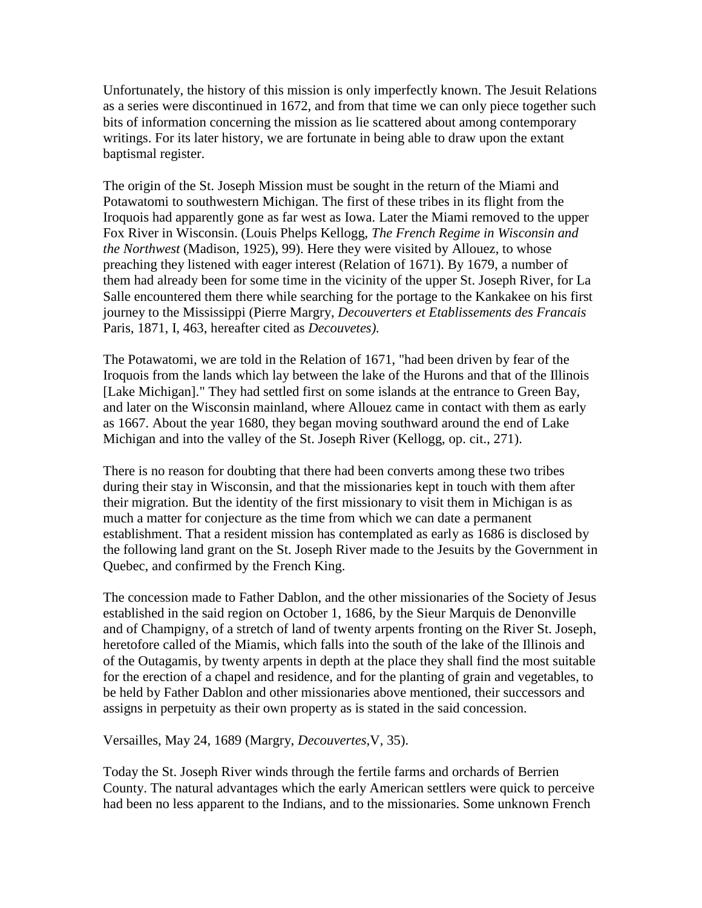Unfortunately, the history of this mission is only imperfectly known. The Jesuit Relations as a series were discontinued in 1672, and from that time we can only piece together such bits of information concerning the mission as lie scattered about among contemporary writings. For its later history, we are fortunate in being able to draw upon the extant baptismal register.

The origin of the St. Joseph Mission must be sought in the return of the Miami and Potawatomi to southwestern Michigan. The first of these tribes in its flight from the Iroquois had apparently gone as far west as Iowa. Later the Miami removed to the upper Fox River in Wisconsin. (Louis Phelps Kellogg, *The French Regime in Wisconsin and the Northwest* (Madison, 1925), 99). Here they were visited by Allouez, to whose preaching they listened with eager interest (Relation of 1671). By 1679, a number of them had already been for some time in the vicinity of the upper St. Joseph River, for La Salle encountered them there while searching for the portage to the Kankakee on his first journey to the Mississippi (Pierre Margry, *Decouverters et Etablissements des Francais* Paris, 1871, I, 463, hereafter cited as *Decouvetes).*

The Potawatomi, we are told in the Relation of 1671, "had been driven by fear of the Iroquois from the lands which lay between the lake of the Hurons and that of the Illinois [Lake Michigan]." They had settled first on some islands at the entrance to Green Bay, and later on the Wisconsin mainland, where Allouez came in contact with them as early as 1667. About the year 1680, they began moving southward around the end of Lake Michigan and into the valley of the St. Joseph River (Kellogg, op. cit., 271).

There is no reason for doubting that there had been converts among these two tribes during their stay in Wisconsin, and that the missionaries kept in touch with them after their migration. But the identity of the first missionary to visit them in Michigan is as much a matter for conjecture as the time from which we can date a permanent establishment. That a resident mission has contemplated as early as 1686 is disclosed by the following land grant on the St. Joseph River made to the Jesuits by the Government in Quebec, and confirmed by the French King.

The concession made to Father Dablon, and the other missionaries of the Society of Jesus established in the said region on October 1, 1686, by the Sieur Marquis de Denonville and of Champigny, of a stretch of land of twenty arpents fronting on the River St. Joseph, heretofore called of the Miamis, which falls into the south of the lake of the Illinois and of the Outagamis, by twenty arpents in depth at the place they shall find the most suitable for the erection of a chapel and residence, and for the planting of grain and vegetables, to be held by Father Dablon and other missionaries above mentioned, their successors and assigns in perpetuity as their own property as is stated in the said concession.

Versailles, May 24, 1689 (Margry, *Decouvertes,*V, 35).

Today the St. Joseph River winds through the fertile farms and orchards of Berrien County. The natural advantages which the early American settlers were quick to perceive had been no less apparent to the Indians, and to the missionaries. Some unknown French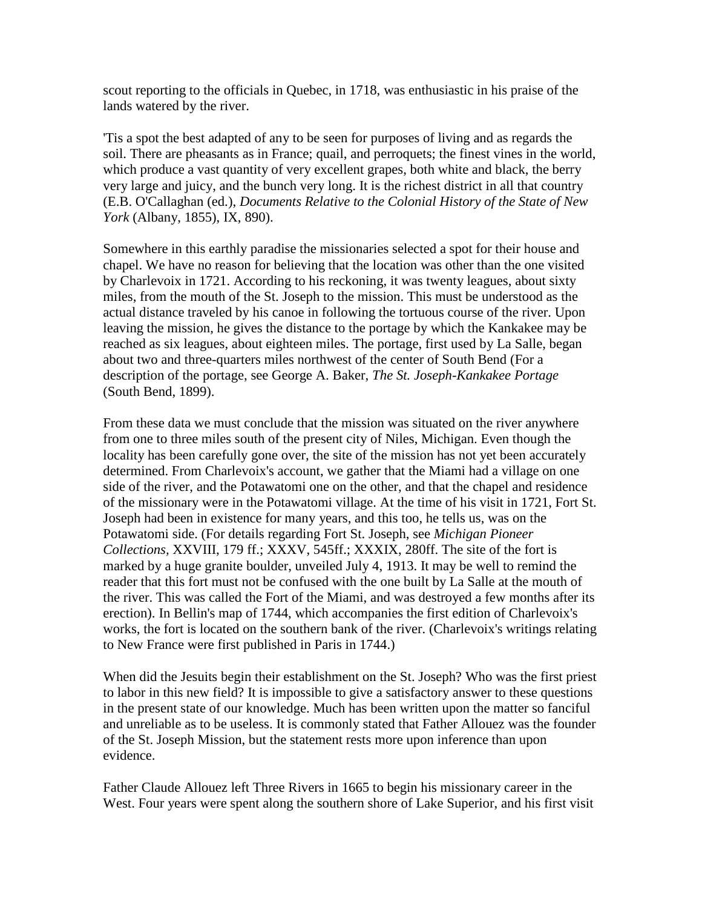scout reporting to the officials in Quebec, in 1718, was enthusiastic in his praise of the lands watered by the river.

'Tis a spot the best adapted of any to be seen for purposes of living and as regards the soil. There are pheasants as in France; quail, and perroquets; the finest vines in the world, which produce a vast quantity of very excellent grapes, both white and black, the berry very large and juicy, and the bunch very long. It is the richest district in all that country (E.B. O'Callaghan (ed.), *Documents Relative to the Colonial History of the State of New York* (Albany, 1855), IX, 890).

Somewhere in this earthly paradise the missionaries selected a spot for their house and chapel. We have no reason for believing that the location was other than the one visited by Charlevoix in 1721. According to his reckoning, it was twenty leagues, about sixty miles, from the mouth of the St. Joseph to the mission. This must be understood as the actual distance traveled by his canoe in following the tortuous course of the river. Upon leaving the mission, he gives the distance to the portage by which the Kankakee may be reached as six leagues, about eighteen miles. The portage, first used by La Salle, began about two and three-quarters miles northwest of the center of South Bend (For a description of the portage, see George A. Baker, *The St. Joseph-Kankakee Portage* (South Bend, 1899).

From these data we must conclude that the mission was situated on the river anywhere from one to three miles south of the present city of Niles, Michigan. Even though the locality has been carefully gone over, the site of the mission has not yet been accurately determined. From Charlevoix's account, we gather that the Miami had a village on one side of the river, and the Potawatomi one on the other, and that the chapel and residence of the missionary were in the Potawatomi village. At the time of his visit in 1721, Fort St. Joseph had been in existence for many years, and this too, he tells us, was on the Potawatomi side. (For details regarding Fort St. Joseph, see *Michigan Pioneer Collections,* XXVIII, 179 ff.; XXXV, 545ff.; XXXIX, 280ff. The site of the fort is marked by a huge granite boulder, unveiled July 4, 1913. It may be well to remind the reader that this fort must not be confused with the one built by La Salle at the mouth of the river. This was called the Fort of the Miami, and was destroyed a few months after its erection). In Bellin's map of 1744, which accompanies the first edition of Charlevoix's works, the fort is located on the southern bank of the river. (Charlevoix's writings relating to New France were first published in Paris in 1744.)

When did the Jesuits begin their establishment on the St. Joseph? Who was the first priest to labor in this new field? It is impossible to give a satisfactory answer to these questions in the present state of our knowledge. Much has been written upon the matter so fanciful and unreliable as to be useless. It is commonly stated that Father Allouez was the founder of the St. Joseph Mission, but the statement rests more upon inference than upon evidence.

Father Claude Allouez left Three Rivers in 1665 to begin his missionary career in the West. Four years were spent along the southern shore of Lake Superior, and his first visit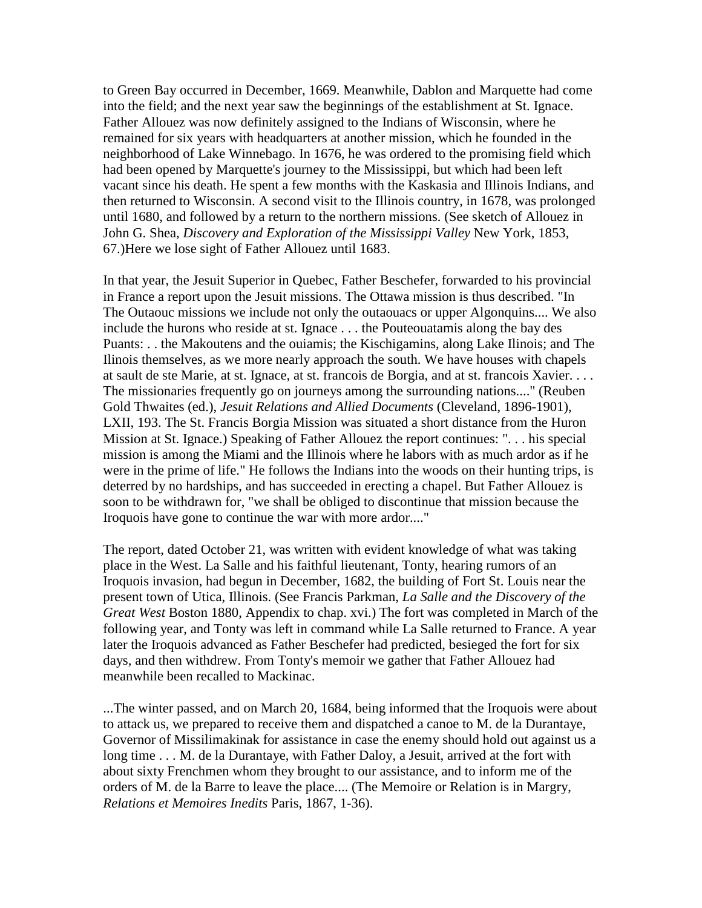to Green Bay occurred in December, 1669. Meanwhile, Dablon and Marquette had come into the field; and the next year saw the beginnings of the establishment at St. Ignace. Father Allouez was now definitely assigned to the Indians of Wisconsin, where he remained for six years with headquarters at another mission, which he founded in the neighborhood of Lake Winnebago. In 1676, he was ordered to the promising field which had been opened by Marquette's journey to the Mississippi, but which had been left vacant since his death. He spent a few months with the Kaskasia and Illinois Indians, and then returned to Wisconsin. A second visit to the Illinois country, in 1678, was prolonged until 1680, and followed by a return to the northern missions. (See sketch of Allouez in John G. Shea, *Discovery and Exploration of the Mississippi Valley* New York, 1853, 67.)Here we lose sight of Father Allouez until 1683.

In that year, the Jesuit Superior in Quebec, Father Beschefer, forwarded to his provincial in France a report upon the Jesuit missions. The Ottawa mission is thus described. "In The Outaouc missions we include not only the outaouacs or upper Algonquins.... We also include the hurons who reside at st. Ignace . . . the Pouteouatamis along the bay des Puants: . . the Makoutens and the ouiamis; the Kischigamins, along Lake Ilinois; and The Ilinois themselves, as we more nearly approach the south. We have houses with chapels at sault de ste Marie, at st. Ignace, at st. francois de Borgia, and at st. francois Xavier. . . . The missionaries frequently go on journeys among the surrounding nations...." (Reuben Gold Thwaites (ed.), *Jesuit Relations and Allied Documents* (Cleveland, 1896-1901), LXII, 193. The St. Francis Borgia Mission was situated a short distance from the Huron Mission at St. Ignace.) Speaking of Father Allouez the report continues: ". . . his special mission is among the Miami and the Illinois where he labors with as much ardor as if he were in the prime of life." He follows the Indians into the woods on their hunting trips, is deterred by no hardships, and has succeeded in erecting a chapel. But Father Allouez is soon to be withdrawn for, "we shall be obliged to discontinue that mission because the Iroquois have gone to continue the war with more ardor...."

The report, dated October 21, was written with evident knowledge of what was taking place in the West. La Salle and his faithful lieutenant, Tonty, hearing rumors of an Iroquois invasion, had begun in December, 1682, the building of Fort St. Louis near the present town of Utica, Illinois. (See Francis Parkman, *La Salle and the Discovery of the Great West* Boston 1880, Appendix to chap. xvi.) The fort was completed in March of the following year, and Tonty was left in command while La Salle returned to France. A year later the Iroquois advanced as Father Beschefer had predicted, besieged the fort for six days, and then withdrew. From Tonty's memoir we gather that Father Allouez had meanwhile been recalled to Mackinac.

...The winter passed, and on March 20, 1684, being informed that the Iroquois were about to attack us, we prepared to receive them and dispatched a canoe to M. de la Durantaye, Governor of Missilimakinak for assistance in case the enemy should hold out against us a long time . . . M. de la Durantaye, with Father Daloy, a Jesuit, arrived at the fort with about sixty Frenchmen whom they brought to our assistance, and to inform me of the orders of M. de la Barre to leave the place.... (The Memoire or Relation is in Margry, *Relations et Memoires Inedits* Paris, 1867, 1-36).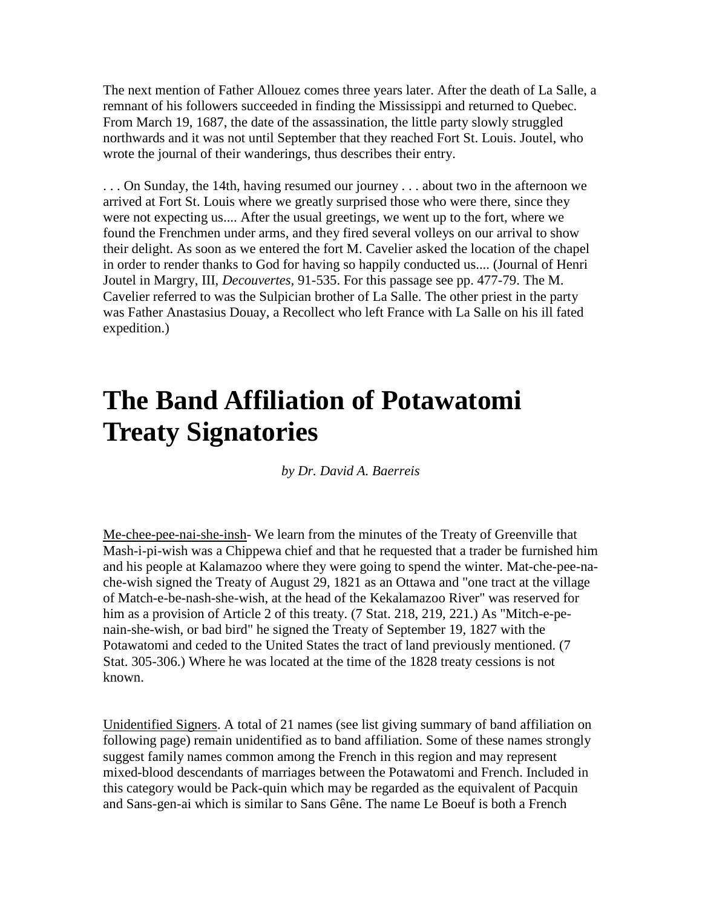The next mention of Father Allouez comes three years later. After the death of La Salle, a remnant of his followers succeeded in finding the Mississippi and returned to Quebec. From March 19, 1687, the date of the assassination, the little party slowly struggled northwards and it was not until September that they reached Fort St. Louis. Joutel, who wrote the journal of their wanderings, thus describes their entry.

. . . On Sunday, the 14th, having resumed our journey . . . about two in the afternoon we arrived at Fort St. Louis where we greatly surprised those who were there, since they were not expecting us.... After the usual greetings, we went up to the fort, where we found the Frenchmen under arms, and they fired several volleys on our arrival to show their delight. As soon as we entered the fort M. Cavelier asked the location of the chapel in order to render thanks to God for having so happily conducted us.... (Journal of Henri Joutel in Margry, III, *Decouvertes,* 91-535. For this passage see pp. 477-79. The M. Cavelier referred to was the Sulpician brother of La Salle. The other priest in the party was Father Anastasius Douay, a Recollect who left France with La Salle on his ill fated expedition.)

# **The Band Affiliation of Potawatomi Treaty Signatories**

*by Dr. David A. Baerreis*

Me-chee-pee-nai-she-insh- We learn from the minutes of the Treaty of Greenville that Mash-i-pi-wish was a Chippewa chief and that he requested that a trader be furnished him and his people at Kalamazoo where they were going to spend the winter. Mat-che-pee-nache-wish signed the Treaty of August 29, 1821 as an Ottawa and "one tract at the village of Match-e-be-nash-she-wish, at the head of the Kekalamazoo River" was reserved for him as a provision of Article 2 of this treaty. (7 Stat. 218, 219, 221.) As "Mitch-e-penain-she-wish, or bad bird" he signed the Treaty of September 19, 1827 with the Potawatomi and ceded to the United States the tract of land previously mentioned. (7 Stat. 305-306.) Where he was located at the time of the 1828 treaty cessions is not known.

Unidentified Signers. A total of 21 names (see list giving summary of band affiliation on following page) remain unidentified as to band affiliation. Some of these names strongly suggest family names common among the French in this region and may represent mixed-blood descendants of marriages between the Potawatomi and French. Included in this category would be Pack-quin which may be regarded as the equivalent of Pacquin and Sans-gen-ai which is similar to Sans Gêne. The name Le Boeuf is both a French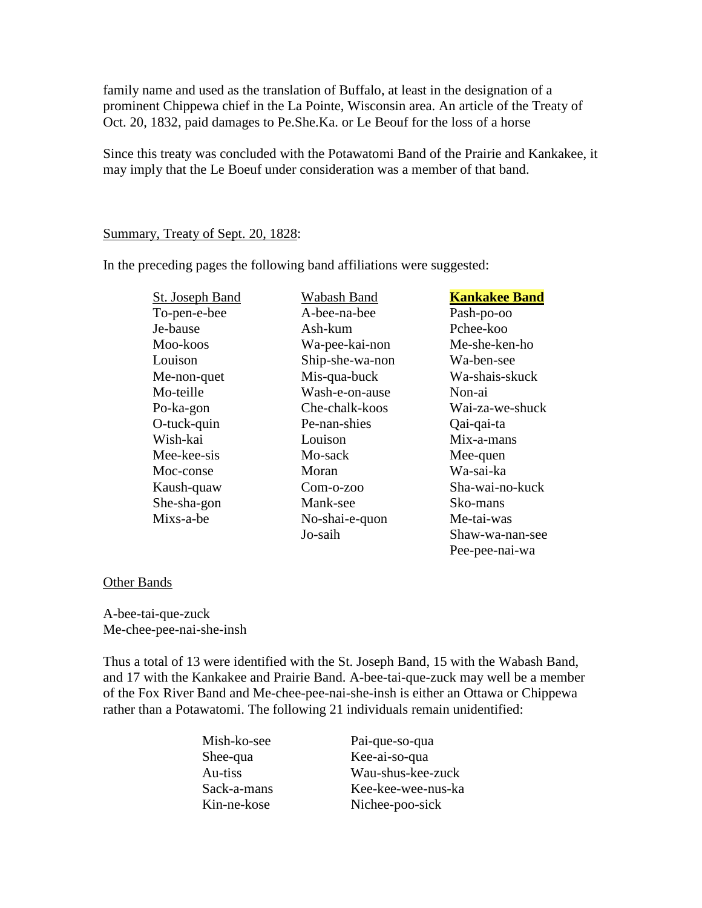family name and used as the translation of Buffalo, at least in the designation of a prominent Chippewa chief in the La Pointe, Wisconsin area. An article of the Treaty of Oct. 20, 1832, paid damages to Pe.She.Ka. or Le Beouf for the loss of a horse

Since this treaty was concluded with the Potawatomi Band of the Prairie and Kankakee, it may imply that the Le Boeuf under consideration was a member of that band.

#### Summary, Treaty of Sept. 20, 1828:

In the preceding pages the following band affiliations were suggested:

| <b>St. Joseph Band</b> | <b>Kankakee Band</b><br>Wabash Band |                 |
|------------------------|-------------------------------------|-----------------|
| To-pen-e-bee           | A-bee-na-bee<br>Pash-po-oo          |                 |
| Je-bause               | Pchee-koo<br>Ash-kum                |                 |
| Moo-koos               | Me-she-ken-ho<br>Wa-pee-kai-non     |                 |
| Louison                | Ship-she-wa-non<br>Wa-ben-see       |                 |
| Me-non-quet            | Mis-qua-buck                        | Wa-shais-skuck  |
| Mo-teille              | Wash-e-on-ause                      | Non-ai          |
| Po-ka-gon              | Che-chalk-koos                      | Wai-za-we-shuck |
| O-tuck-quin            | Pe-nan-shies                        | Qai-qai-ta      |
| Wish-kai               | Louison                             | Mix-a-mans      |
| Mee-kee-sis            | Mo-sack                             | Mee-quen        |
| Moc-conse              | Wa-sai-ka<br>Moran                  |                 |
| Kaush-quaw             | Sha-wai-no-kuck<br>Com-o-zoo        |                 |
| She-sha-gon            | Mank-see                            | Sko-mans        |
| Mixs-a-be              | No-shai-e-quon                      | Me-tai-was      |
|                        | Jo-saih                             | Shaw-wa-nan-see |
|                        |                                     | Pee-pee-nai-wa  |

#### Other Bands

A-bee-tai-que-zuck Me-chee-pee-nai-she-insh

Thus a total of 13 were identified with the St. Joseph Band, 15 with the Wabash Band, and 17 with the Kankakee and Prairie Band. A-bee-tai-que-zuck may well be a member of the Fox River Band and Me-chee-pee-nai-she-insh is either an Ottawa or Chippewa rather than a Potawatomi. The following 21 individuals remain unidentified:

Mish-ko-see Pai-que-so-qua Shee-qua Kee-ai-so-qua Au-tiss Wau-shus-kee-zuck Sack-a-mans Kee-kee-wee-nus-ka Kin-ne-kose Nichee-poo-sick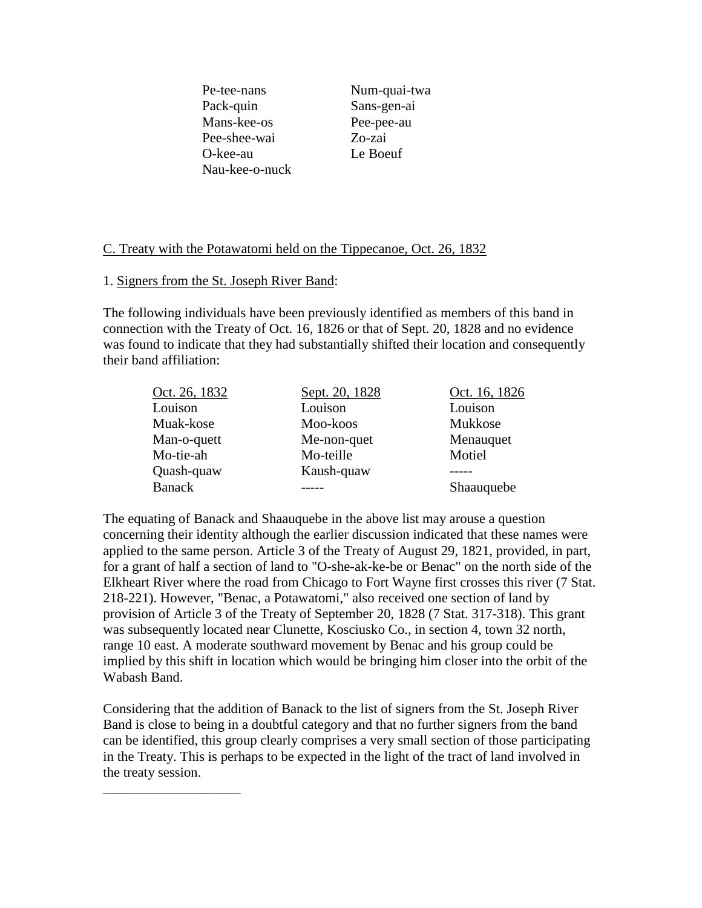Pe-tee-nans Num-quai-twa Pack-quin Sans-gen-ai Mans-kee-os Pee-pee-au Pee-shee-wai Zo-zai O-kee-au Le Boeuf Nau-kee-o-nuck

#### C. Treaty with the Potawatomi held on the Tippecanoe, Oct. 26, 1832

#### 1. Signers from the St. Joseph River Band:

\_\_\_\_\_\_\_\_\_\_\_\_\_\_\_\_\_\_\_\_

The following individuals have been previously identified as members of this band in connection with the Treaty of Oct. 16, 1826 or that of Sept. 20, 1828 and no evidence was found to indicate that they had substantially shifted their location and consequently their band affiliation:

| Oct. 26, 1832 | Sept. 20, 1828 | Oct. 16, 1826 |
|---------------|----------------|---------------|
| Louison       | Louison        | Louison       |
| Muak-kose     | Moo-koos       | Mukkose       |
| Man-o-quett   | Me-non-quet    | Menauquet     |
| Mo-tie-ah     | Mo-teille      | Motiel        |
| Quash-quaw    | Kaush-quaw     |               |
| <b>Banack</b> |                | Shaauquebe    |

The equating of Banack and Shaauquebe in the above list may arouse a question concerning their identity although the earlier discussion indicated that these names were applied to the same person. Article 3 of the Treaty of August 29, 1821, provided, in part, for a grant of half a section of land to "O-she-ak-ke-be or Benac" on the north side of the Elkheart River where the road from Chicago to Fort Wayne first crosses this river (7 Stat. 218-221). However, "Benac, a Potawatomi," also received one section of land by provision of Article 3 of the Treaty of September 20, 1828 (7 Stat. 317-318). This grant was subsequently located near Clunette, Kosciusko Co., in section 4, town 32 north, range 10 east. A moderate southward movement by Benac and his group could be implied by this shift in location which would be bringing him closer into the orbit of the Wabash Band.

Considering that the addition of Banack to the list of signers from the St. Joseph River Band is close to being in a doubtful category and that no further signers from the band can be identified, this group clearly comprises a very small section of those participating in the Treaty. This is perhaps to be expected in the light of the tract of land involved in the treaty session.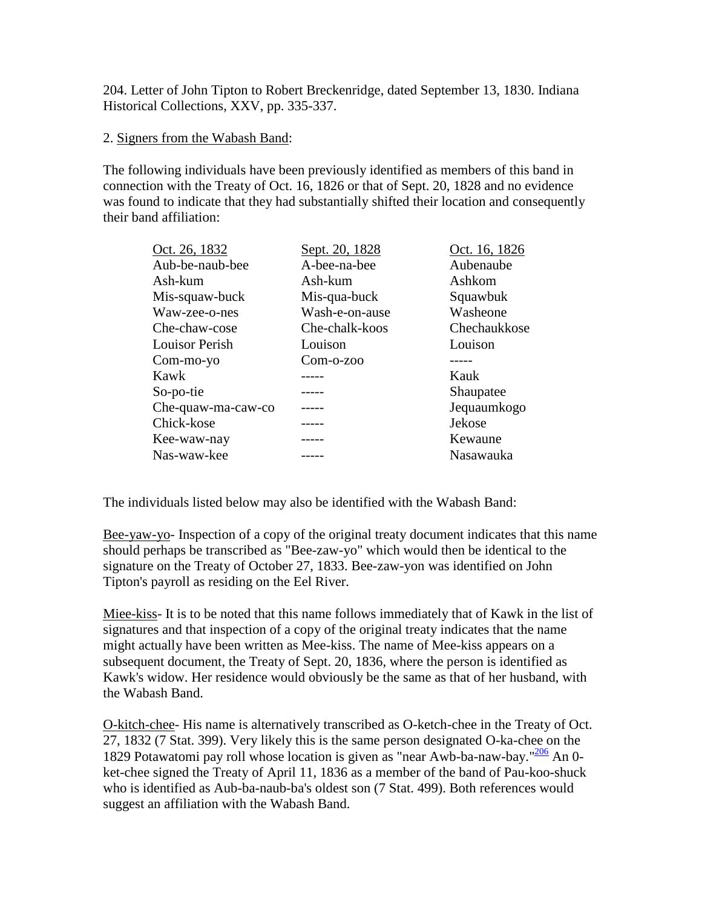204. Letter of John Tipton to Robert Breckenridge, dated September 13, 1830. Indiana Historical Collections, XXV, pp. 335-337.

#### 2. Signers from the Wabash Band:

The following individuals have been previously identified as members of this band in connection with the Treaty of Oct. 16, 1826 or that of Sept. 20, 1828 and no evidence was found to indicate that they had substantially shifted their location and consequently their band affiliation:

| Oct. 26, 1832         | Sept. 20, 1828 | Oct. 16, 1826 |
|-----------------------|----------------|---------------|
| Aub-be-naub-bee       | A-bee-na-bee   | Aubenaube     |
| Ash-kum               | Ash-kum        | Ashkom        |
| Mis-squaw-buck        | Mis-qua-buck   | Squawbuk      |
| Waw-zee-o-nes         | Wash-e-on-ause | Washeone      |
| Che-chaw-cose         | Che-chalk-koos | Chechaukkose  |
| <b>Louisor Perish</b> | Louison        | Louison       |
| Com-mo-yo             | $Com-200$      |               |
| Kawk                  |                | Kauk          |
| So-po-tie             |                | Shaupatee     |
| Che-quaw-ma-caw-co    |                | Jequaumkogo   |
| Chick-kose            |                | Jekose        |
| Kee-waw-nay           |                | Kewaune       |
| Nas-waw-kee           |                | Nasawauka     |

The individuals listed below may also be identified with the Wabash Band:

Bee-yaw-yo- Inspection of a copy of the original treaty document indicates that this name should perhaps be transcribed as "Bee-zaw-yo" which would then be identical to the signature on the Treaty of October 27, 1833. Bee-zaw-yon was identified on John Tipton's payroll as residing on the Eel River.

Miee-kiss- It is to be noted that this name follows immediately that of Kawk in the list of signatures and that inspection of a copy of the original treaty indicates that the name might actually have been written as Mee-kiss. The name of Mee-kiss appears on a subsequent document, the Treaty of Sept. 20, 1836, where the person is identified as Kawk's widow. Her residence would obviously be the same as that of her husband, with the Wabash Band.

O-kitch-chee- His name is alternatively transcribed as O-ketch-chee in the Treaty of Oct. 27, 1832 (7 Stat. 399). Very likely this is the same person designated O-ka-chee on the 1829 Potawatomi pay roll whose location is given as "near Awb-ba-naw-bay."<sup>206</sup> An 0ket-chee signed the Treaty of April 11, 1836 as a member of the band of Pau-koo-shuck who is identified as Aub-ba-naub-ba's oldest son (7 Stat. 499). Both references would suggest an affiliation with the Wabash Band.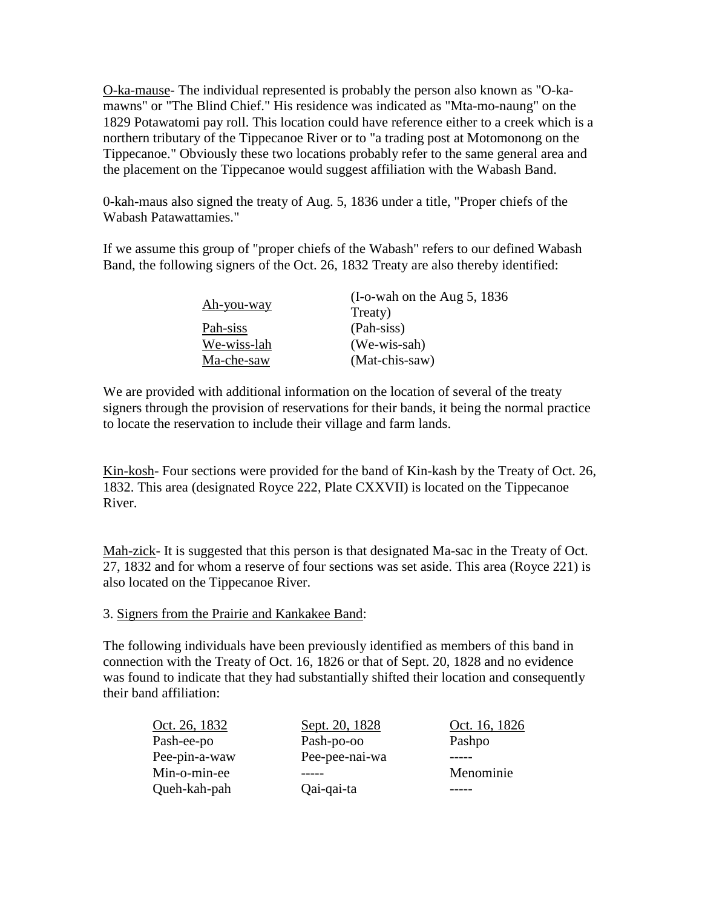O-ka-mause- The individual represented is probably the person also known as "O-kamawns" or "The Blind Chief." His residence was indicated as "Mta-mo-naung" on the 1829 Potawatomi pay roll. This location could have reference either to a creek which is a northern tributary of the Tippecanoe River or to "a trading post at Motomonong on the Tippecanoe." Obviously these two locations probably refer to the same general area and the placement on the Tippecanoe would suggest affiliation with the Wabash Band.

0-kah-maus also signed the treaty of Aug. 5, 1836 under a title, "Proper chiefs of the Wabash Patawattamies."

If we assume this group of "proper chiefs of the Wabash" refers to our defined Wabash Band, the following signers of the Oct. 26, 1832 Treaty are also thereby identified:

|             | $(I-o$ -wah on the Aug 5, 1836 |  |
|-------------|--------------------------------|--|
| Ah-you-way  | Treaty)                        |  |
| Pah-siss    | (Pah-siss)                     |  |
| We-wiss-lah | $(We-wis-sah)$                 |  |
| Ma-che-saw  | (Mat-chis-saw)                 |  |

We are provided with additional information on the location of several of the treaty signers through the provision of reservations for their bands, it being the normal practice to locate the reservation to include their village and farm lands.

Kin-kosh- Four sections were provided for the band of Kin-kash by the Treaty of Oct. 26, 1832. This area (designated Royce 222, Plate CXXVII) is located on the Tippecanoe River.

Mah-zick- It is suggested that this person is that designated Ma-sac in the Treaty of Oct. 27, 1832 and for whom a reserve of four sections was set aside. This area (Royce 221) is also located on the Tippecanoe River.

#### 3. Signers from the Prairie and Kankakee Band:

The following individuals have been previously identified as members of this band in connection with the Treaty of Oct. 16, 1826 or that of Sept. 20, 1828 and no evidence was found to indicate that they had substantially shifted their location and consequently their band affiliation:

| Oct. 26, 1832 | Sept. 20, 1828 | Oct. 16, 1826 |
|---------------|----------------|---------------|
| Pash-ee-po    | Pash-po-oo     | Pashpo        |
| Pee-pin-a-waw | Pee-pee-nai-wa |               |
| Min-o-min-ee  |                | Menominie     |
| Queh-kah-pah  | Qai-qai-ta     |               |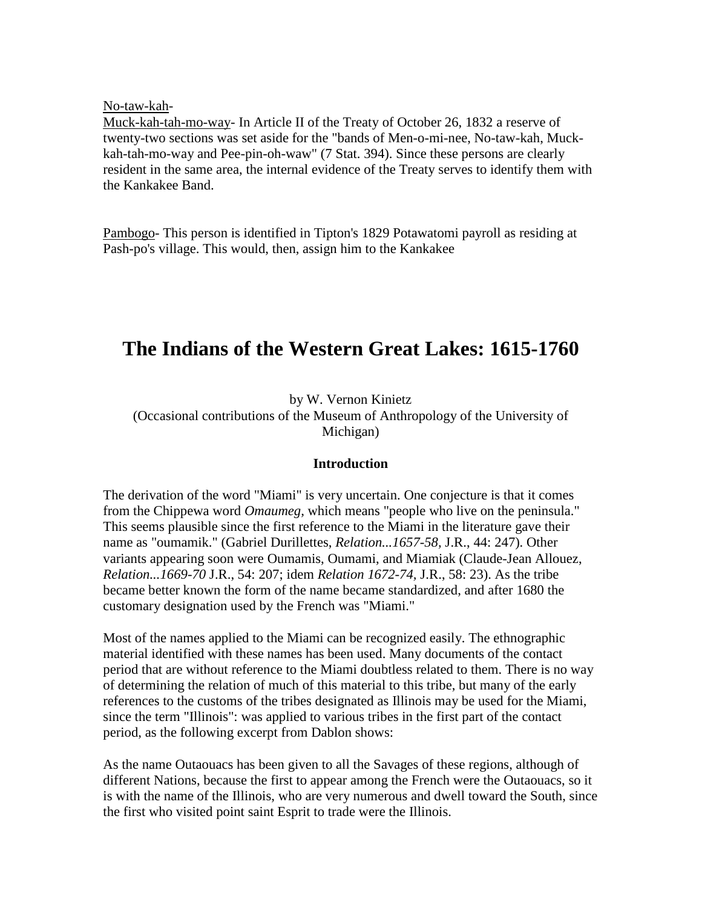No-taw-kah-

Muck-kah-tah-mo-way- In Article II of the Treaty of October 26, 1832 a reserve of twenty-two sections was set aside for the "bands of Men-o-mi-nee, No-taw-kah, Muckkah-tah-mo-way and Pee-pin-oh-waw" (7 Stat. 394). Since these persons are clearly resident in the same area, the internal evidence of the Treaty serves to identify them with the Kankakee Band.

Pambogo- This person is identified in Tipton's 1829 Potawatomi payroll as residing at Pash-po's village. This would, then, assign him to the Kankakee

## **The Indians of the Western Great Lakes: 1615-1760**

by W. Vernon Kinietz

(Occasional contributions of the Museum of Anthropology of the University of Michigan)

#### **Introduction**

The derivation of the word "Miami" is very uncertain. One conjecture is that it comes from the Chippewa word *Omaumeg,* which means "people who live on the peninsula." This seems plausible since the first reference to the Miami in the literature gave their name as "oumamik." (Gabriel Durillettes, *Relation...1657-58,* J.R., 44: 247). Other variants appearing soon were Oumamis, Oumami, and Miamiak (Claude-Jean Allouez, *Relation...1669-70* J.R., 54: 207; idem *Relation 1672-74,* J.R., 58: 23). As the tribe became better known the form of the name became standardized, and after 1680 the customary designation used by the French was "Miami."

Most of the names applied to the Miami can be recognized easily. The ethnographic material identified with these names has been used. Many documents of the contact period that are without reference to the Miami doubtless related to them. There is no way of determining the relation of much of this material to this tribe, but many of the early references to the customs of the tribes designated as Illinois may be used for the Miami, since the term "Illinois": was applied to various tribes in the first part of the contact period, as the following excerpt from Dablon shows:

As the name Outaouacs has been given to all the Savages of these regions, although of different Nations, because the first to appear among the French were the Outaouacs, so it is with the name of the Illinois, who are very numerous and dwell toward the South, since the first who visited point saint Esprit to trade were the Illinois.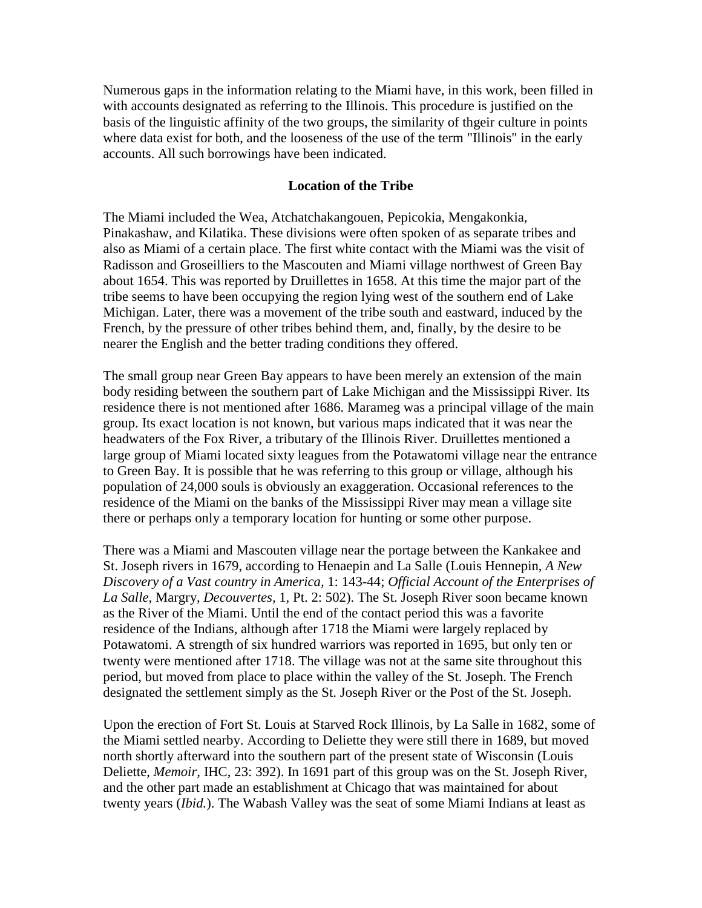Numerous gaps in the information relating to the Miami have, in this work, been filled in with accounts designated as referring to the Illinois. This procedure is justified on the basis of the linguistic affinity of the two groups, the similarity of thgeir culture in points where data exist for both, and the looseness of the use of the term "Illinois" in the early accounts. All such borrowings have been indicated.

#### **Location of the Tribe**

The Miami included the Wea, Atchatchakangouen, Pepicokia, Mengakonkia, Pinakashaw, and Kilatika. These divisions were often spoken of as separate tribes and also as Miami of a certain place. The first white contact with the Miami was the visit of Radisson and Groseilliers to the Mascouten and Miami village northwest of Green Bay about 1654. This was reported by Druillettes in 1658. At this time the major part of the tribe seems to have been occupying the region lying west of the southern end of Lake Michigan. Later, there was a movement of the tribe south and eastward, induced by the French, by the pressure of other tribes behind them, and, finally, by the desire to be nearer the English and the better trading conditions they offered.

The small group near Green Bay appears to have been merely an extension of the main body residing between the southern part of Lake Michigan and the Mississippi River. Its residence there is not mentioned after 1686. Marameg was a principal village of the main group. Its exact location is not known, but various maps indicated that it was near the headwaters of the Fox River, a tributary of the Illinois River. Druillettes mentioned a large group of Miami located sixty leagues from the Potawatomi village near the entrance to Green Bay. It is possible that he was referring to this group or village, although his population of 24,000 souls is obviously an exaggeration. Occasional references to the residence of the Miami on the banks of the Mississippi River may mean a village site there or perhaps only a temporary location for hunting or some other purpose.

There was a Miami and Mascouten village near the portage between the Kankakee and St. Joseph rivers in 1679, according to Henaepin and La Salle (Louis Hennepin, *A New Discovery of a Vast country in America,* 1: 143-44; *Official Account of the Enterprises of La Salle,* Margry, *Decouvertes,* 1, Pt. 2: 502). The St. Joseph River soon became known as the River of the Miami. Until the end of the contact period this was a favorite residence of the Indians, although after 1718 the Miami were largely replaced by Potawatomi. A strength of six hundred warriors was reported in 1695, but only ten or twenty were mentioned after 1718. The village was not at the same site throughout this period, but moved from place to place within the valley of the St. Joseph. The French designated the settlement simply as the St. Joseph River or the Post of the St. Joseph.

Upon the erection of Fort St. Louis at Starved Rock Illinois, by La Salle in 1682, some of the Miami settled nearby. According to Deliette they were still there in 1689, but moved north shortly afterward into the southern part of the present state of Wisconsin (Louis Deliette, *Memoir,* IHC, 23: 392). In 1691 part of this group was on the St. Joseph River, and the other part made an establishment at Chicago that was maintained for about twenty years (*Ibid.*). The Wabash Valley was the seat of some Miami Indians at least as